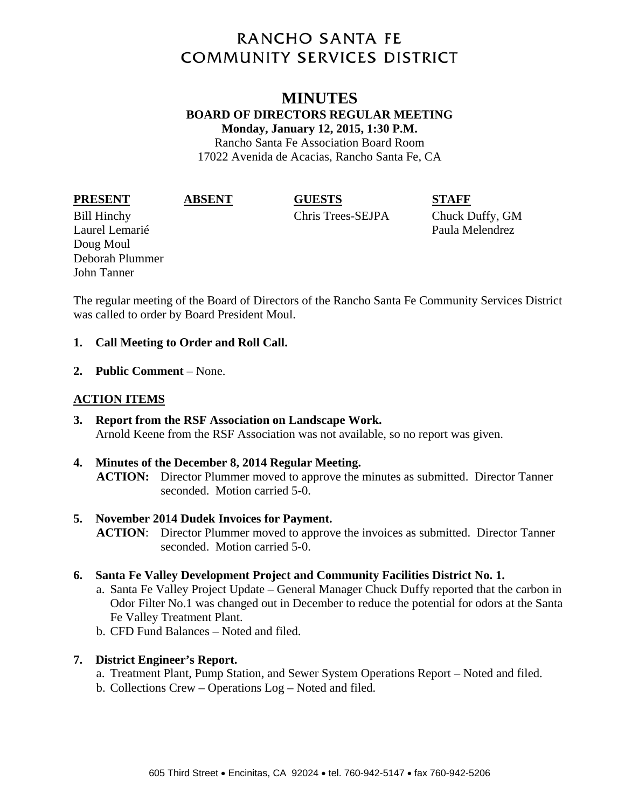# **RANCHO SANTA FE COMMUNITY SERVICES DISTRICT**

### **MINUTES BOARD OF DIRECTORS REGULAR MEETING Monday, January 12, 2015, 1:30 P.M.**  Rancho Santa Fe Association Board Room

17022 Avenida de Acacias, Rancho Santa Fe, CA

# **PRESENT ABSENT GUESTS STAFF**

Bill Hinchy Chris Trees-SEJPA Chuck Duffy, GM

Laurel Lemarié Paula Melendrez Doug Moul Deborah Plummer John Tanner

The regular meeting of the Board of Directors of the Rancho Santa Fe Community Services District was called to order by Board President Moul.

### **1. Call Meeting to Order and Roll Call.**

**2. Public Comment** – None.

# **ACTION ITEMS**

**3. Report from the RSF Association on Landscape Work.**  Arnold Keene from the RSF Association was not available, so no report was given.

# **4. Minutes of the December 8, 2014 Regular Meeting. ACTION:** Director Plummer moved to approve the minutes as submitted. Director Tanner seconded. Motion carried 5-0.

# **5. November 2014 Dudek Invoices for Payment.**

**ACTION**: Director Plummer moved to approve the invoices as submitted. Director Tanner seconded. Motion carried 5-0.

#### **6. Santa Fe Valley Development Project and Community Facilities District No. 1.**

- a. Santa Fe Valley Project Update General Manager Chuck Duffy reported that the carbon in Odor Filter No.1 was changed out in December to reduce the potential for odors at the Santa Fe Valley Treatment Plant.
- b. CFD Fund Balances Noted and filed.

# **7. District Engineer's Report.**

- a. Treatment Plant, Pump Station, and Sewer System Operations Report Noted and filed.
- b. Collections Crew Operations Log Noted and filed.